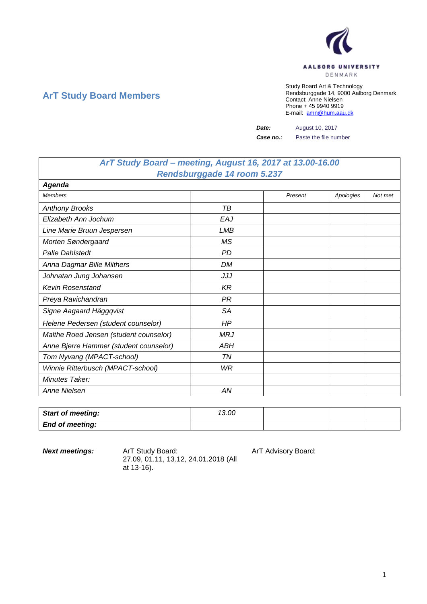

## **ArT Study Board Members**

Study Board Art & Technology Rendsburggade 14, 9000 Aalborg Denmark Contact: Anne Nielsen Phone + 45 9940 9919 E-mail: [amn@hum.aau.dk](mailto:amn@hum.aau.dk)

**Date:** August 10, 2017

**Case no.:** Paste the file number

## *ArT Study Board – meeting, August 16, 2017 at 13.00-16.00 Rendsburggade 14 room 5.237*

| <b>Agenda</b>                          |           |         |           |         |
|----------------------------------------|-----------|---------|-----------|---------|
| <b>Members</b>                         |           | Present | Apologies | Not met |
| <b>Anthony Brooks</b>                  | TВ        |         |           |         |
| Elizabeth Ann Jochum                   | EAJ       |         |           |         |
| Line Marie Bruun Jespersen             | LMB       |         |           |         |
| Morten Søndergaard                     | <b>MS</b> |         |           |         |
| <b>Palle Dahlstedt</b>                 | <b>PD</b> |         |           |         |
| Anna Dagmar Bille Milthers             | <b>DM</b> |         |           |         |
| Johnatan Jung Johansen                 | JJJ       |         |           |         |
| <b>Kevin Rosenstand</b>                | KR        |         |           |         |
| Preya Ravichandran                     | <b>PR</b> |         |           |         |
| Signe Aagaard Häggqvist                | <b>SA</b> |         |           |         |
| Helene Pedersen (student counselor)    | HP.       |         |           |         |
| Malthe Roed Jensen (student counselor) | MRJ       |         |           |         |
| Anne Bjerre Hammer (student counselor) | ABH       |         |           |         |
| Tom Nyvang (MPACT-school)              | ΤN        |         |           |         |
| Winnie Ritterbusch (MPACT-school)      | WR        |         |           |         |
| Minutes Taker:                         |           |         |           |         |
| Anne Nielsen                           | ΑN        |         |           |         |

| <b>Start of meeting:</b> | 13.00 |  |  |
|--------------------------|-------|--|--|
| <b>End of meeting:</b>   |       |  |  |

**Next meetings:** Art Study Board: Art Advisory Board: 27.09, 01.11, 13.12, 24.01.2018 (All at 13-16).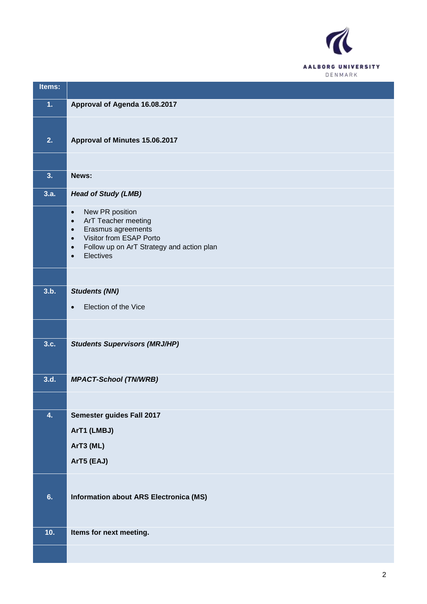

| Items:           |                                                                                                                                                                                                                                 |
|------------------|---------------------------------------------------------------------------------------------------------------------------------------------------------------------------------------------------------------------------------|
| 1.               | Approval of Agenda 16.08.2017                                                                                                                                                                                                   |
|                  |                                                                                                                                                                                                                                 |
| 2.               | Approval of Minutes 15.06.2017                                                                                                                                                                                                  |
|                  |                                                                                                                                                                                                                                 |
| 3.               | News:                                                                                                                                                                                                                           |
| 3.a.             | <b>Head of Study (LMB)</b>                                                                                                                                                                                                      |
|                  | New PR position<br>$\bullet$<br>ArT Teacher meeting<br>$\bullet$<br>Erasmus agreements<br>$\bullet$<br>Visitor from ESAP Porto<br>$\bullet$<br>Follow up on ArT Strategy and action plan<br>$\bullet$<br>Electives<br>$\bullet$ |
|                  |                                                                                                                                                                                                                                 |
| 3.b.             | <b>Students (NN)</b>                                                                                                                                                                                                            |
|                  | Election of the Vice<br>$\bullet$                                                                                                                                                                                               |
|                  |                                                                                                                                                                                                                                 |
| 3.c.             | <b>Students Supervisors (MRJ/HP)</b>                                                                                                                                                                                            |
|                  |                                                                                                                                                                                                                                 |
| 3.d.             | <b>MPACT-School (TN/WRB)</b>                                                                                                                                                                                                    |
|                  |                                                                                                                                                                                                                                 |
| $\overline{4}$ . | Semester guides Fall 2017                                                                                                                                                                                                       |
|                  | ArT1 (LMBJ)                                                                                                                                                                                                                     |
|                  | ArT3 (ML)<br>ArT5 (EAJ)                                                                                                                                                                                                         |
|                  |                                                                                                                                                                                                                                 |
|                  |                                                                                                                                                                                                                                 |
| 6.               | <b>Information about ARS Electronica (MS)</b>                                                                                                                                                                                   |
|                  |                                                                                                                                                                                                                                 |
| 10.              | Items for next meeting.                                                                                                                                                                                                         |
|                  |                                                                                                                                                                                                                                 |